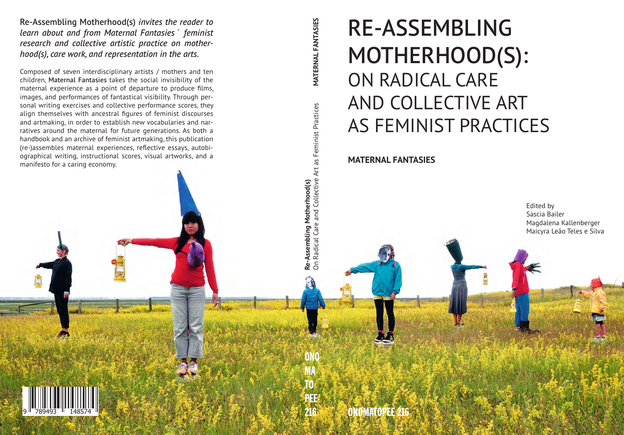Re-Assembling Motherhood(s) *invites the reader to learn about and from Maternal Fantasies´ feminist research and collective artistic practice on motherhood(s), care work, and representation in the arts.* 

Composed of seven interdisciplinary artists / mothers and ten children, Maternal Fantasies takes the social invisibility of the maternal experience as a point of departure to produce films, images, and performances of fantastical visibility. Through personal writing exercises and collective performance scores, they align themselves with ancestral figures of feminist discourses and artmaking, in order to establish new vocabularies and narratives around the maternal for future generations. As both a handbook and an archive of feminist artmaking, this publication (re-)assembles maternal experiences, reflective essays, autobiographical writing, instructional scores, visual artworks, and a manifesto for a caring economy.

# RE-ASSEMBLING MOTHERHOOD(S): ON RADICAL CARE AND COLLECTIVE ART AS FEMINIST PRACTICES

## **MATERNAL FANTASIES**

Edited by Sascia Bailer Magdalena Kallenberger Maicyra Leão Teles e Silva

ONOMATOPEE 216

ONO

216**Re-Assembling Motherhood(s)** On Radical Care and Collective Art as Feminist Practices **MATERNAL FANTASIES**

**Re-Assembling Motherhood(s)**<br>On Radical Care and Collective Art as Feminist Practices

**MATERNAL FANTASIES** 

MA TO

PEE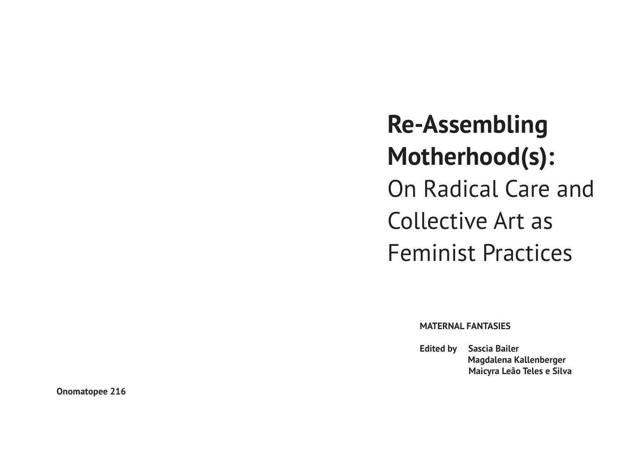**Re-Assembling Motherhood(s):** On Radical Care and Collective Art as Feminist Practices

**MATERNAL FANTASIES** 

**Edited by Sascia Bailer Magdalena Kallenberger Maicyra Leão Teles e Silva**

**Onomatopee 216**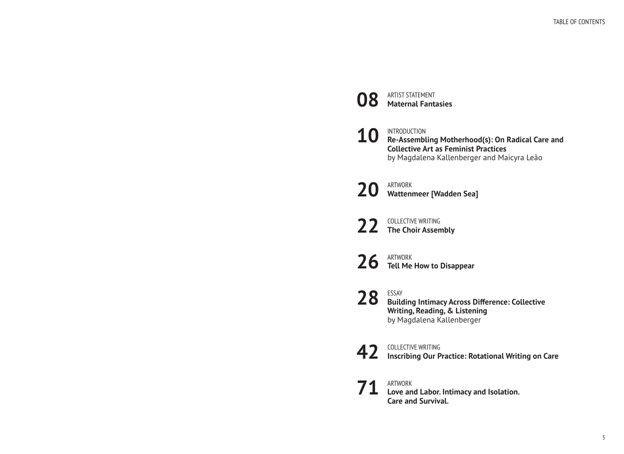| 08 | <b>ARTIST STATEMENT</b><br><b>Maternal Fantasies</b>                                                                                                               |
|----|--------------------------------------------------------------------------------------------------------------------------------------------------------------------|
|    | $10$ INTRODUCTION<br>Re-Assembling Motherhood(s): On Radical Care and<br><b>Collective Art as Feminist Practices</b><br>by Magdalena Kallenberger and Maicyra Leão |
|    | 20 ARTWORK<br>Wattenmeer [Wadden Sea]                                                                                                                              |
|    | 22 COLLECTIVE WRITING                                                                                                                                              |
|    | $26$ $\overline{1}$ Tell Me How to Disappear                                                                                                                       |
|    | 28 ESSAY<br>Building Intimacy Across Difference: Collective<br><b>Writing, Reading, &amp; Listening</b><br>by Magdalena Kallenberger                               |
|    | <b>COLLECTIVE WRITING</b><br>42 Inscribing Our Practice: Rotational Writing on Care                                                                                |
|    | $71$ ARTWORK Labor. Intimacy and Isolation.<br><b>Care and Survival.</b>                                                                                           |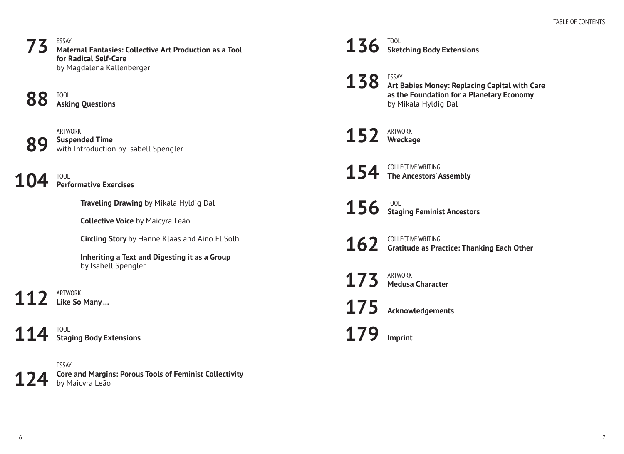#### ESSAY **Maternal Fantasies: Collective Art Production as a Tool for Radical Self-Care**  by Magdalena Kallenberger **73**

TOOL **88**

**Asking Questions** 

ARTWORK **Suspended Time**  with Introduction by Isabell Spengler **89**

TOOL **Performative Exercises 104**

**Traveling Drawing** by Mikala Hyldig Dal

**Collective Voice** by Maicyra Leão

**Circling Story** by Hanne Klaas and Aino El Solh

**Inheriting a Text and Digesting it as a Group**  by Isabell Spengler

ARTWORK **Like So Many ... 112**

TOOL **Staging Body Extensions 114**

ESSAY **Core and Margins: Porous Tools of Feminist Collectivity**  by Maicyra Leão **124**

TOOL **Sketching Body Extensions 136**

ESSAY **Art Babies Money: Replacing Capital with Care as the Foundation for a Planetary Economy**  by Mikala Hyldig Dal **138**

ARTWORK **Wreckage 152**

COLLECTIVE WRITING **The Ancestors' Assembly 154**

TOOL **Staging Feminist Ancestors 156**

COLLECTIVE WRITING **Gratitude as Practice: Thanking Each Other 162**

ARTWORK **Medusa Character 173**

**Acknowledgements 175**

**Imprint 179**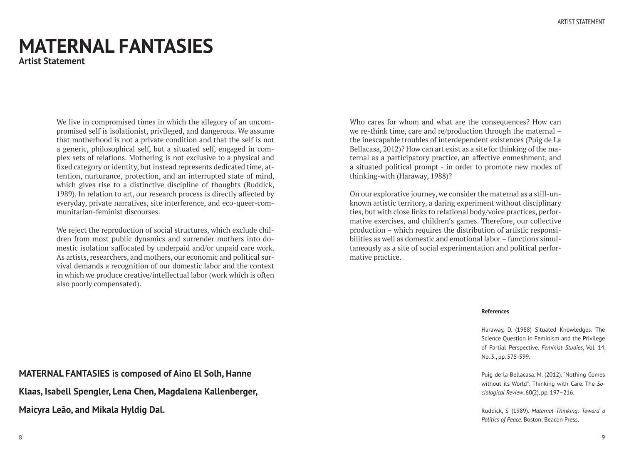## **MATERNAL FANTASIES**

**Artist Statement** 

We live in compromised times in which the allegory of an uncompromised self is isolationist, privileged, and dangerous. We assume that motherhood is not a private condition and that the self is not a generic, philosophical self, but a situated self, engaged in complex sets of relations. Mothering is not exclusive to a physical and fixed category or identity, but instead represents dedicated time, attention, nurturance, protection, and an interrupted state of mind, which gives rise to a distinctive discipline of thoughts (Ruddick, 1989). In relation to art, our research process is directly affected by everyday, private narratives, site interference, and eco-queer-communitarian-feminist discourses.

We reject the reproduction of social structures, which exclude children from most public dynamics and surrender mothers into domestic isolation suffocated by underpaid and/or unpaid care work. As artists, researchers, and mothers, our economic and political survival demands a recognition of our domestic labor and the context in which we produce creative/intellectual labor (work which is often also poorly compensated).

Who cares for whom and what are the consequences? How can we re-think time, care and re/production through the maternal – the inescapable troubles of interdependent existences (Puig de La Bellacasa, 2012)? How can art exist as a site for thinking of the maternal as a participatory practice, an affective enmeshment, and a situated political prompt - in order to promote new modes of thinking-with (Haraway, 1988)?

On our explorative journey, we consider the maternal as a still-unknown artistic territory, a daring experiment without disciplinary ties, but with close links to relational body/voice practices, performative exercises, and children's games. Therefore, our collective production – which requires the distribution of artistic responsibilities as well as domestic and emotional labor – functions simultaneously as a site of social experimentation and political performative practice.

#### **References**

Haraway, D. (1988) Situated Knowledges: The Science Question in Feminism and the Privilege of Partial Perspective. *Feminist Studies*, Vol. 14, No. 3., pp. 575-599.

Puig de la Bellacasa, M. (2012). "Nothing Comes without its World": Thinking with Care. The *Sociological Review*, 60(2), pp. 197–216.

Ruddick, S (1989). *Maternal Thinking: Toward a Politics of Peace.* Boston: Beacon Press.

**MATERNAL FANTASIES is composed of Aino El Solh, Hanne** 

**Klaas, Isabell Spengler, Lena Chen, Magdalena Kallenberger,** 

**Maicyra Leão, and Mikala Hyldig Dal.**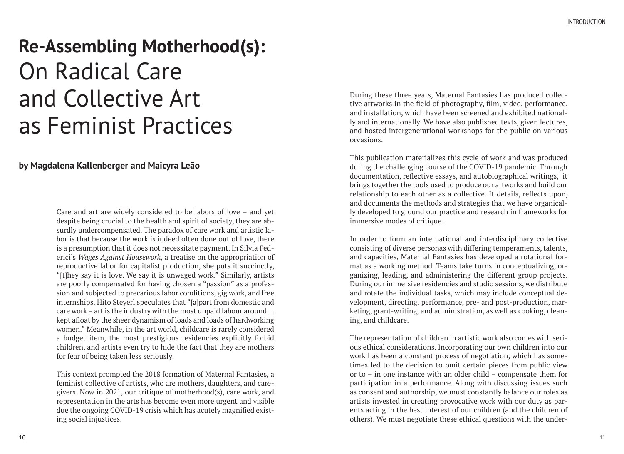# **Re-Assembling Motherhood(s):** On Radical Care and Collective Art as Feminist Practices

## **by Magdalena Kallenberger and Maicyra Leão**

Care and art are widely considered to be labors of love – and yet despite being crucial to the health and spirit of society, they are absurdly undercompensated. The paradox of care work and artistic labor is that because the work is indeed often done out of love, there is a presumption that it does not necessitate payment. In Silvia Federici's *Wages Against Housework*, a treatise on the appropriation of reproductive labor for capitalist production, she puts it succinctly, "[t]hey say it is love. We say it is unwaged work." Similarly, artists are poorly compensated for having chosen a "passion" as a profession and subjected to precarious labor conditions, gig work, and free internships. Hito Steyerl speculates that "[a]part from domestic and care work – art is the industry with the most unpaid labour around ... kept afloat by the sheer dynamism of loads and loads of hardworking women." Meanwhile, in the art world, childcare is rarely considered a budget item, the most prestigious residencies explicitly forbid children, and artists even try to hide the fact that they are mothers for fear of being taken less seriously.

This context prompted the 2018 formation of Maternal Fantasies, a feminist collective of artists, who are mothers, daughters, and caregivers. Now in 2021, our critique of motherhood(s), care work, and representation in the arts has become even more urgent and visible due the ongoing COVID-19 crisis which has acutely magnified existing social injustices.

During these three years, Maternal Fantasies has produced collective artworks in the field of photography, film, video, performance, and installation, which have been screened and exhibited nationally and internationally. We have also published texts, given lectures, and hosted intergenerational workshops for the public on various occasions.

This publication materializes this cycle of work and was produced during the challenging course of the COVID-19 pandemic. Through documentation, reflective essays, and autobiographical writings, it brings together the tools used to produce our artworks and build our relationship to each other as a collective. It details, reflects upon, and documents the methods and strategies that we have organically developed to ground our practice and research in frameworks for immersive modes of critique.

In order to form an international and interdisciplinary collective consisting of diverse personas with differing temperaments, talents, and capacities, Maternal Fantasies has developed a rotational format as a working method. Teams take turns in conceptualizing, organizing, leading, and administering the different group projects. During our immersive residencies and studio sessions, we distribute and rotate the individual tasks, which may include conceptual development, directing, performance, pre- and post-production, marketing, grant-writing, and administration, as well as cooking, cleaning, and childcare.

The representation of children in artistic work also comes with serious ethical considerations. Incorporating our own children into our work has been a constant process of negotiation, which has sometimes led to the decision to omit certain pieces from public view or to – in one instance with an older child – compensate them for participation in a performance. Along with discussing issues such as consent and authorship, we must constantly balance our roles as artists invested in creating provocative work with our duty as parents acting in the best interest of our children (and the children of others). We must negotiate these ethical questions with the under-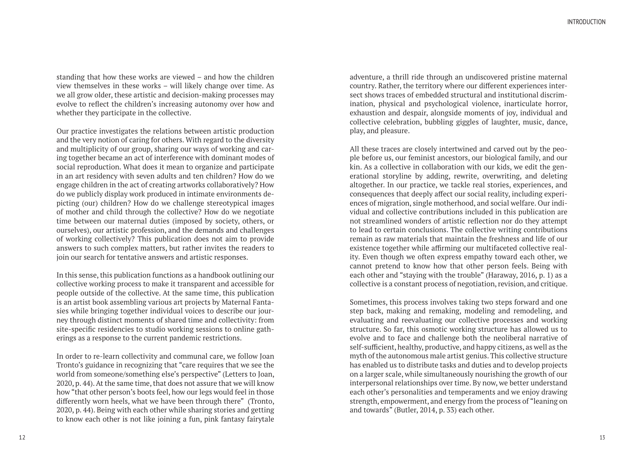standing that how these works are viewed – and how the children view themselves in these works – will likely change over time. As we all grow older, these artistic and decision-making processes may evolve to reflect the children's increasing autonomy over how and whether they participate in the collective.

Our practice investigates the relations between artistic production and the very notion of caring for others. With regard to the diversity and multiplicity of our group, sharing our ways of working and caring together became an act of interference with dominant modes of social reproduction. What does it mean to organize and participate in an art residency with seven adults and ten children? How do we engage children in the act of creating artworks collaboratively? How do we publicly display work produced in intimate environments depicting (our) children? How do we challenge stereotypical images of mother and child through the collective? How do we negotiate time between our maternal duties (imposed by society, others, or ourselves), our artistic profession, and the demands and challenges of working collectively? This publication does not aim to provide answers to such complex matters, but rather invites the readers to join our search for tentative answers and artistic responses.

In this sense, this publication functions as a handbook outlining our collective working process to make it transparent and accessible for people outside of the collective. At the same time, this publication is an artist book assembling various art projects by Maternal Fantasies while bringing together individual voices to describe our journey through distinct moments of shared time and collectivity: from site-specific residencies to studio working sessions to online gatherings as a response to the current pandemic restrictions.

In order to re-learn collectivity and communal care, we follow Joan Tronto's guidance in recognizing that "care requires that we see the world from someone/something else's perspective" (Letters to Joan, 2020, p. 44). At the same time, that does not assure that we will know how "that other person's boots feel, how our legs would feel in those differently worn heels, what we have been through there" (Tronto, 2020, p. 44). Being with each other while sharing stories and getting to know each other is not like joining a fun, pink fantasy fairytale

adventure, a thrill ride through an undiscovered pristine maternal country. Rather, the territory where our different experiences intersect shows traces of embedded structural and institutional discrimination, physical and psychological violence, inarticulate horror, exhaustion and despair, alongside moments of joy, individual and collective celebration, bubbling giggles of laughter, music, dance, play, and pleasure.

All these traces are closely intertwined and carved out by the people before us, our feminist ancestors, our biological family, and our kin. As a collective in collaboration with our kids, we edit the generational storyline by adding, rewrite, overwriting, and deleting altogether. In our practice, we tackle real stories, experiences, and consequences that deeply affect our social reality, including experiences of migration, single motherhood, and social welfare. Our individual and collective contributions included in this publication are not streamlined wonders of artistic reflection nor do they attempt to lead to certain conclusions. The collective writing contributions remain as raw materials that maintain the freshness and life of our existence together while affirming our multifaceted collective reality. Even though we often express empathy toward each other, we cannot pretend to know how that other person feels. Being with each other and "staying with the trouble" (Haraway, 2016, p. 1) as a collective is a constant process of negotiation, revision, and critique.

Sometimes, this process involves taking two steps forward and one step back, making and remaking, modeling and remodeling, and evaluating and reevaluating our collective processes and working structure. So far, this osmotic working structure has allowed us to evolve and to face and challenge both the neoliberal narrative of self-sufficient, healthy, productive, and happy citizens, as well as the myth of the autonomous male artist genius. This collective structure has enabled us to distribute tasks and duties and to develop projects on a larger scale, while simultaneously nourishing the growth of our interpersonal relationships over time. By now, we better understand each other's personalities and temperaments and we enjoy drawing strength, empowerment, and energy from the process of "leaning on and towards" (Butler, 2014, p. 33) each other.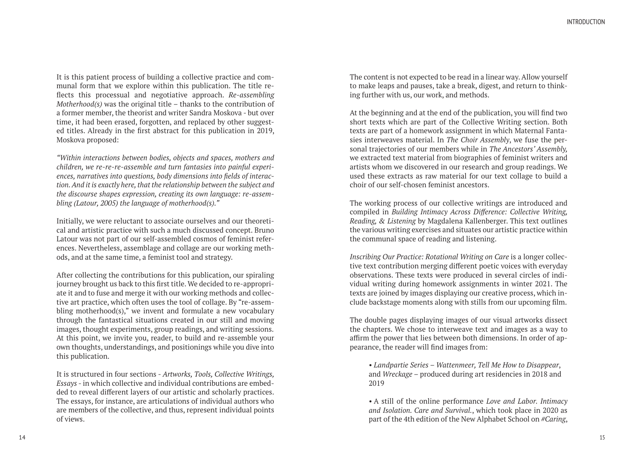It is this patient process of building a collective practice and communal form that we explore within this publication. The title reflects this processual and negotiative approach. *Re-assembling Motherhood(s)* was the original title – thanks to the contribution of a former member, the theorist and writer Sandra Moskova - but over time, it had been erased, forgotten, and replaced by other suggested titles. Already in the first abstract for this publication in 2019, Moskova proposed:

*"Within interactions between bodies, objects and spaces, mothers and children, we re-re-re-assemble and turn fantasies into painful experiences, narratives into questions, body dimensions into fields of interaction. And it is exactly here, that the relationship between the subject and the discourse shapes expression, creating its own language: re-assembling (Latour, 2005) the language of motherhood(s)."* 

Initially, we were reluctant to associate ourselves and our theoretical and artistic practice with such a much discussed concept. Bruno Latour was not part of our self-assembled cosmos of feminist references. Nevertheless, assemblage and collage are our working methods, and at the same time, a feminist tool and strategy.

After collecting the contributions for this publication, our spiraling journey brought us back to this first title. We decided to re-appropriate it and to fuse and merge it with our working methods and collective art practice, which often uses the tool of collage. By "re-assembling motherhood(s)," we invent and formulate a new vocabulary through the fantastical situations created in our still and moving images, thought experiments, group readings, and writing sessions. At this point, we invite you, reader, to build and re-assemble your own thoughts, understandings, and positionings while you dive into this publication.

It is structured in four sections - *Artworks, Tools, Collective Writings, Essays* - in which collective and individual contributions are embedded to reveal different layers of our artistic and scholarly practices. The essays, for instance, are articulations of individual authors who are members of the collective, and thus, represent individual points of views.

The content is not expected to be read in a linear way. Allow yourself to make leaps and pauses, take a break, digest, and return to thinking further with us, our work, and methods.

At the beginning and at the end of the publication, you will find two short texts which are part of the Collective Writing section. Both texts are part of a homework assignment in which Maternal Fantasies interweaves material. In *The Choir Assembly*, we fuse the personal trajectories of our members while in *The Ancestors' Assembly,*  we extracted text material from biographies of feminist writers and artists whom we discovered in our research and group readings. We used these extracts as raw material for our text collage to build a choir of our self-chosen feminist ancestors.

The working process of our collective writings are introduced and compiled in *Building Intimacy Across Difference: Collective Writing, Reading, & Listening* by Magdalena Kallenberger. This text outlines the various writing exercises and situates our artistic practice within the communal space of reading and listening.

*Inscribing Our Practice: Rotational Writing on Care* is a longer collective text contribution merging different poetic voices with everyday observations. These texts were produced in several circles of individual writing during homework assignments in winter 2021. The texts are joined by images displaying our creative process, which include backstage moments along with stills from our upcoming film.

The double pages displaying images of our visual artworks dissect the chapters. We chose to interweave text and images as a way to affirm the power that lies between both dimensions. In order of appearance, the reader will find images from:

*• Landpartie Series – Wattenmeer, Tell Me How to Disappear*, and *Wreckage* – produced during art residencies in 2018 and 2019

*•* A still of the online performance *Love and Labor. Intimacy and Isolation. Care and Survival.*, which took place in 2020 as part of the 4th edition of the New Alphabet School on *#Caring*,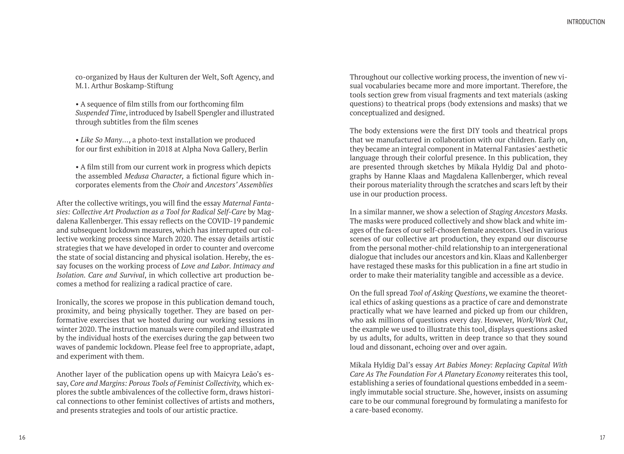co-organized by Haus der Kulturen der Welt, Soft Agency, and M.1. Arthur Boskamp-Stiftung

*•* A sequence of film stills from our forthcoming film *Suspended Time*, introduced by Isabell Spengler and illustrated through subtitles from the film scenes

*• Like So Many*…, a photo-text installation we produced for our first exhibition in 2018 at Alpha Nova Gallery, Berlin

*•* A film still from our current work in progress which depicts the assembled *Medusa Character,* a fictional figure which incorporates elements from the *Choir* and *Ancestors' Assemblies*

After the collective writings, you will find the essay *Maternal Fantasies: Collective Art Production as a Tool for Radical Self-Care* by Magdalena Kallenberger. This essay reflects on the COVID-19 pandemic and subsequent lockdown measures, which has interrupted our collective working process since March 2020. The essay details artistic strategies that we have developed in order to counter and overcome the state of social distancing and physical isolation. Hereby, the essay focuses on the working process of *Love and Labor. Intimacy and Isolation. Care and Survival*, in which collective art production becomes a method for realizing a radical practice of care.

Ironically, the scores we propose in this publication demand touch, proximity, and being physically together. They are based on performative exercises that we hosted during our working sessions in winter 2020. The instruction manuals were compiled and illustrated by the individual hosts of the exercises during the gap between two waves of pandemic lockdown. Please feel free to appropriate, adapt, and experiment with them.

Another layer of the publication opens up with Maicyra Leão's essay, *Core and Margins: Porous Tools of Feminist Collectivity,* which explores the subtle ambivalences of the collective form, draws historical connections to other feminist collectives of artists and mothers, and presents strategies and tools of our artistic practice.

Throughout our collective working process, the invention of new visual vocabularies became more and more important. Therefore, the tools section grew from visual fragments and text materials (asking questions) to theatrical props (body extensions and masks) that we conceptualized and designed.

The body extensions were the first DIY tools and theatrical props that we manufactured in collaboration with our children. Early on, they became an integral component in Maternal Fantasies' aesthetic language through their colorful presence. In this publication, they are presented through sketches by Mikala Hyldig Dal and photographs by Hanne Klaas and Magdalena Kallenberger, which reveal their porous materiality through the scratches and scars left by their use in our production process.

In a similar manner, we show a selection of *Staging Ancestors Masks.*  The masks were produced collectively and show black and white images of the faces of our self-chosen female ancestors. Used in various scenes of our collective art production, they expand our discourse from the personal mother-child relationship to an intergenerational dialogue that includes our ancestors and kin. Klaas and Kallenberger have restaged these masks for this publication in a fine art studio in order to make their materiality tangible and accessible as a device.

On the full spread *Tool of Asking Questions*, we examine the theoretical ethics of asking questions as a practice of care and demonstrate practically what we have learned and picked up from our children, who ask millions of questions every day. However, *Work/Work Out*, the example we used to illustrate this tool, displays questions asked by us adults, for adults, written in deep trance so that they sound loud and dissonant, echoing over and over again.

Mikala Hyldig Dal's essay *Art Babies Money: Replacing Capital With Care As The Foundation For A Planetary Economy* reiterates this tool, establishing a series of foundational questions embedded in a seemingly immutable social structure. She, however, insists on assuming care to be our communal foreground by formulating a manifesto for a care-based economy.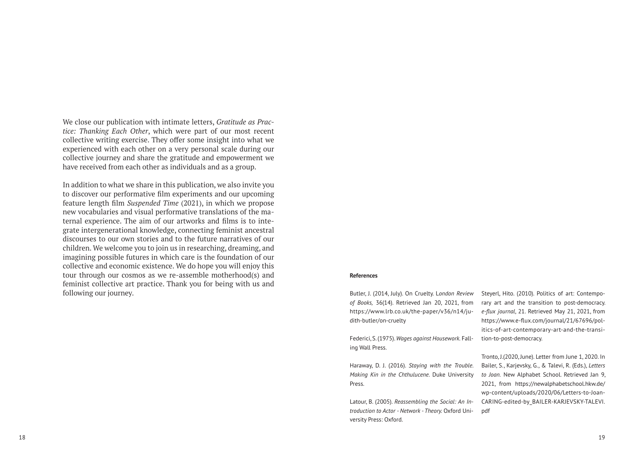We close our publication with intimate letters, *Gratitude as Practice: Thanking Each Other*, which were part of our most recent collective writing exercise. They offer some insight into what we experienced with each other on a very personal scale during our collective journey and share the gratitude and empowerment we have received from each other as individuals and as a group.

In addition to what we share in this publication, we also invite you to discover our performative film experiments and our upcoming feature length film *Suspended Time* (2021), in which we propose new vocabularies and visual performative translations of the maternal experience. The aim of our artworks and films is to integrate intergenerational knowledge, connecting feminist ancestral discourses to our own stories and to the future narratives of our children. We welcome you to join us in researching, dreaming, and imagining possible futures in which care is the foundation of our collective and economic existence. We do hope you will enjoy this tour through our cosmos as we re-assemble motherhood(s) and feminist collective art practice. Thank you for being with us and following our journey.

#### **References**

Butler, J. (2014, July). On Cruelty. L*ondon Review of Books,* 36(14). Retrieved Jan 20, 2021, from https://www.lrb.co.uk/the-paper/v36/n14/judith-butler/on-cruelty

Federici, S. (1975). *Wages against Housework.* Falling Wall Press.

Haraway, D. J. (2016). *Staying with the Trouble. Making Kin in the Chthulucene.* Duke University Press.

Latour, B. (2005). *Reassembling the Social: An Introduction to Actor - Network - Theory.* Oxford University Press: Oxford.

Steyerl, Hito. (2010). Politics of art: Contemporary art and the transition to post-democracy. *e-flux journal*, 21. Retrieved May 21, 2021, from https://www.e-flux.com/journal/21/67696/politics-of-art-contemporary-art-and-the-transition-to-post-democracy.

Tronto, J.(2020, June). Letter from June 1, 2020. In Bailer, S., Karjevsky, G., & Talevi, R. (Eds.), *Letters to Joan.* New Alphabet School. Retrieved Jan 9, 2021, from https://newalphabetschool.hkw.de/ wp-content/uploads/2020/06/Letters-to-Joan-CARING-edited-by\_BAILER-KARJEVSKY-TALEVI. pdf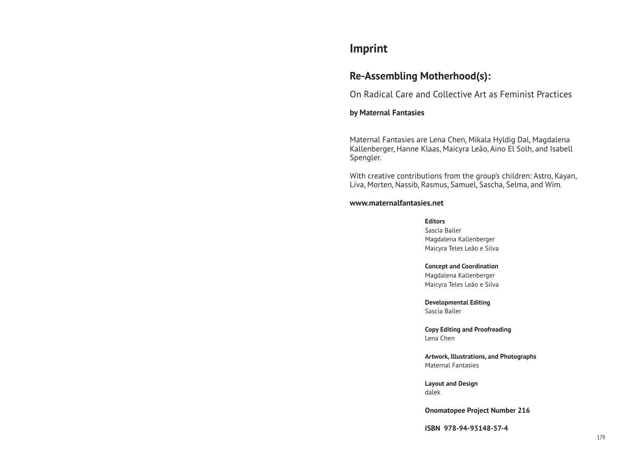## **Imprint**

## **Re-Assembling Motherhood(s):**

On Radical Care and Collective Art as Feminist Practices

## **by Maternal Fantasies**

Maternal Fantasies are Lena Chen, Mikala Hyldig Dal, Magdalena Kallenberger, Hanne Klaas, Maicyra Leão, Aino El Solh, and Isabell Spengler.

With creative contributions from the group's children: Astro, Kayan, Liva, Morten, Nassib, Rasmus, Samuel, Sascha, Selma, and Wim.

## **www.maternalfantasies.net**

### **Editors**

Sascia Bailer Magdalena Kallenberger Maicyra Teles Leão e Silva

#### **Concept and Coordination**

Magdalena Kallenberger Maicyra Teles Leão e Silva

**Developmental Editing** Sascia Bailer

**Copy Editing and Proofreading** Lena Chen

**Artwork, Illustrations, and Photographs** Maternal Fantasies

**Layout and Design** dalek

**Onomatopee Project Number 216**

**ISBN 978-94-93148-57-4**